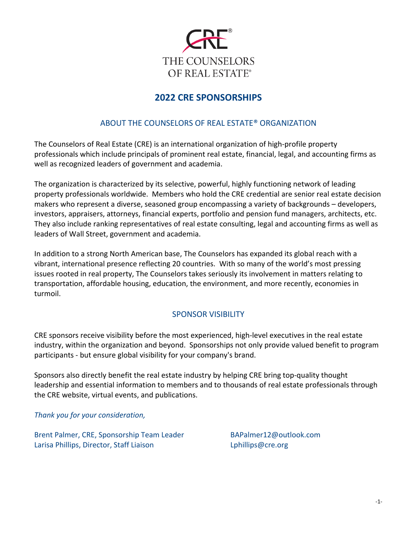

# **2022 CRE SPONSORSHIPS**

## ABOUT THE COUNSELORS OF REAL ESTATE® ORGANIZATION

The Counselors of Real Estate (CRE) is an international organization of high-profile property professionals which include principals of prominent real estate, financial, legal, and accounting firms as well as recognized leaders of government and academia.

The organization is characterized by its selective, powerful, highly functioning network of leading property professionals worldwide. Members who hold the CRE credential are senior real estate decision makers who represent a diverse, seasoned group encompassing a variety of backgrounds – developers, investors, appraisers, attorneys, financial experts, portfolio and pension fund managers, architects, etc. They also include ranking representatives of real estate consulting, legal and accounting firms as well as leaders of Wall Street, government and academia.

In addition to a strong North American base, The Counselors has expanded its global reach with a vibrant, international presence reflecting 20 countries. With so many of the world's most pressing issues rooted in real property, The Counselors takes seriously its involvement in matters relating to transportation, affordable housing, education, the environment, and more recently, economies in turmoil.

## SPONSOR VISIBILITY

CRE sponsors receive visibility before the most experienced, high-level executives in the real estate industry, within the organization and beyond. Sponsorships not only provide valued benefit to program participants - but ensure global visibility for your company's brand.

Sponsors also directly benefit the real estate industry by helping CRE bring top-quality thought leadership and essential information to members and to thousands of real estate professionals through the CRE website, virtual events, and publications.

*Thank you for your consideration,*

Brent Palmer, CRE, Sponsorship Team Leader BAPalmer12@outlook.com Larisa Phillips, Director, Staff Liaison Lehillips@cre.org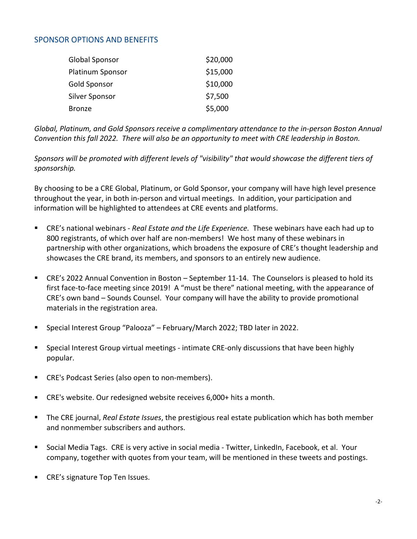## SPONSOR OPTIONS AND BENEFITS

| Global Sponsor   | \$20,000 |
|------------------|----------|
| Platinum Sponsor | \$15,000 |
| Gold Sponsor     | \$10,000 |
| Silver Sponsor   | \$7,500  |
| <b>Bronze</b>    | \$5,000  |

*Global, Platinum, and Gold Sponsors receive a complimentary attendance to the in-person Boston Annual Convention this fall 2022. There will also be an opportunity to meet with CRE leadership in Boston.*

*Sponsors will be promoted with different levels of "visibility" that would showcase the different tiers of sponsorship.* 

By choosing to be a CRE Global, Platinum, or Gold Sponsor, your company will have high level presence throughout the year, in both in-person and virtual meetings. In addition, your participation and information will be highlighted to attendees at CRE events and platforms.

- CRE's national webinars *Real Estate and the Life Experience.* These webinars have each had up to 800 registrants, of which over half are non-members! We host many of these webinars in partnership with other organizations, which broadens the exposure of CRE's thought leadership and showcases the CRE brand, its members, and sponsors to an entirely new audience.
- CRE's 2022 Annual Convention in Boston September 11-14. The Counselors is pleased to hold its first face-to-face meeting since 2019! A "must be there" national meeting, with the appearance of CRE's own band – Sounds Counsel. Your company will have the ability to provide promotional materials in the registration area.
- Special Interest Group "Palooza" February/March 2022; TBD later in 2022.
- Special Interest Group virtual meetings intimate CRE-only discussions that have been highly popular.
- CRE's Podcast Series (also open to non-members).
- CRE's website. Our redesigned website receives 6,000+ hits a month.
- The CRE journal, *Real Estate Issues*, the prestigious real estate publication which has both member and nonmember subscribers and authors.
- Social Media Tags. CRE is very active in social media Twitter, LinkedIn, Facebook, et al. Your company, together with quotes from your team, will be mentioned in these tweets and postings.
- CRE's signature Top Ten Issues.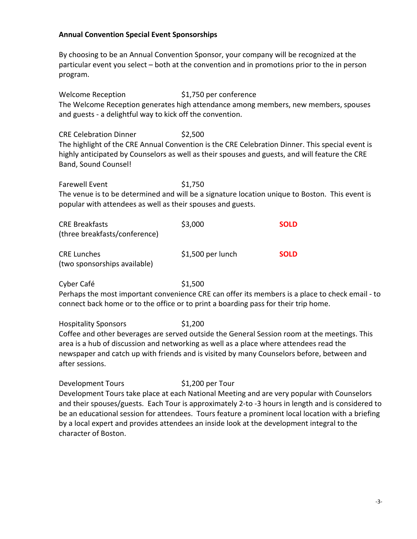### **Annual Convention Special Event Sponsorships**

By choosing to be an Annual Convention Sponsor, your company will be recognized at the particular event you select – both at the convention and in promotions prior to the in person program.

Welcome Reception  $$1,750$  per conference The Welcome Reception generates high attendance among members, new members, spouses and guests - a delightful way to kick off the convention.

CRE Celebration Dinner \$2,500 The highlight of the CRE Annual Convention is the CRE Celebration Dinner. This special event is highly anticipated by Counselors as well as their spouses and guests, and will feature the CRE Band, Sound Counsel!

Farewell Event \$1,750 The venue is to be determined and will be a signature location unique to Boston. This event is popular with attendees as well as their spouses and guests.

| <b>CRE Breakfasts</b><br>(three breakfasts/conference) | \$3,000            | <b>SOLD</b> |
|--------------------------------------------------------|--------------------|-------------|
| <b>CRE Lunches</b><br>(two sponsorships available)     | $$1,500$ per lunch | <b>SOLD</b> |

Cyber Café  $$1,500$ Perhaps the most important convenience CRE can offer its members is a place to check email - to connect back home or to the office or to print a boarding pass for their trip home.

Hospitality Sponsors \$1,200 Coffee and other beverages are served outside the General Session room at the meetings. This area is a hub of discussion and networking as well as a place where attendees read the newspaper and catch up with friends and is visited by many Counselors before, between and after sessions.

Development Tours \$1,200 per Tour Development Tours take place at each National Meeting and are very popular with Counselors and their spouses/guests. Each Tour is approximately 2-to -3 hours in length and is considered to be an educational session for attendees. Tours feature a prominent local location with a briefing by a local expert and provides attendees an inside look at the development integral to the character of Boston.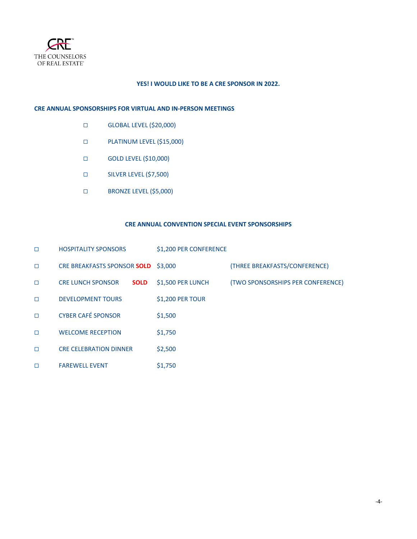

### **YES! I WOULD LIKE TO BE A CRE SPONSOR IN 2022.**

#### **CRE ANNUAL SPONSORSHIPS FOR VIRTUAL AND IN-PERSON MEETINGS**

- ☐ GLOBAL LEVEL (\$20,000)
- ☐ PLATINUM LEVEL (\$15,000)
- ☐ GOLD LEVEL (\$10,000)
- ☐ SILVER LEVEL (\$7,500)
- ☐ BRONZE LEVEL (\$5,000)

#### **CRE ANNUAL CONVENTION SPECIAL EVENT SPONSORSHIPS**

| $\Box$ | <b>HOSPITALITY SPONSORS</b>             | \$1,200 PER CONFERENCE |                                   |
|--------|-----------------------------------------|------------------------|-----------------------------------|
| $\Box$ | CRE BREAKFASTS SPONSOR SOLD             | \$3,000                | (THREE BREAKFASTS/CONFERENCE)     |
| $\Box$ | <b>CRE LUNCH SPONSOR</b><br><b>SOLD</b> | \$1,500 PER LUNCH      | (TWO SPONSORSHIPS PER CONFERENCE) |
| $\Box$ | <b>DEVELOPMENT TOURS</b>                | \$1,200 PER TOUR       |                                   |
| $\Box$ | <b>CYBER CAFÉ SPONSOR</b>               | \$1,500                |                                   |
| $\Box$ | <b>WELCOME RECEPTION</b>                | \$1,750                |                                   |
| □      | <b><i>CRE CELEBRATION DINNER</i></b>    | \$2,500                |                                   |
| □      | <b>FAREWELL EVENT</b>                   | \$1,750                |                                   |